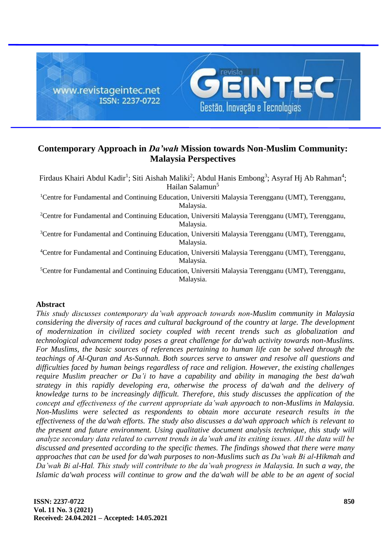

# **Contemporary Approach in** *Da'wah* **Mission towards Non-Muslim Community: Malaysia Perspectives**

Firdaus Khairi Abdul Kadir<sup>1</sup>; Siti Aishah Maliki<sup>2</sup>; Abdul Hanis Embong<sup>3</sup>; Asyraf Hj Ab Rahman<sup>4</sup>; Hailan Salamun<sup>5</sup>

<sup>1</sup>Centre for Fundamental and Continuing Education, Universiti Malaysia Terengganu (UMT), Terengganu, Malaysia.

<sup>2</sup>Centre for Fundamental and Continuing Education, Universiti Malaysia Terengganu (UMT), Terengganu, Malaysia.

<sup>3</sup>Centre for Fundamental and Continuing Education, Universiti Malaysia Terengganu (UMT), Terengganu, Malaysia.

<sup>4</sup>Centre for Fundamental and Continuing Education, Universiti Malaysia Terengganu (UMT), Terengganu, Malaysia.

<sup>5</sup>Centre for Fundamental and Continuing Education, Universiti Malaysia Terengganu (UMT), Terengganu, Malaysia.

# **Abstract**

*This study discusses contemporary da'wah approach towards non-Muslim community in Malaysia considering the diversity of races and cultural background of the country at large. The development of modernization in civilized society coupled with recent trends such as globalization and technological advancement today poses a great challenge for da'wah activity towards non-Muslims. For Muslims, the basic sources of references pertaining to human life can be solved through the teachings of Al-Quran and As-Sunnah. Both sources serve to answer and resolve all questions and difficulties faced by human beings regardless of race and religion. However, the existing challenges require Muslim preacher or Da'i to have a capability and ability in managing the best da'wah strategy in this rapidly developing era, otherwise the process of da'wah and the delivery of knowledge turns to be increasingly difficult. Therefore, this study discusses the application of the concept and effectiveness of the current appropriate da'wah approach to non-Muslims in Malaysia. Non-Muslims were selected as respondents to obtain more accurate research results in the effectiveness of the da'wah efforts. The study also discusses a da'wah approach which is relevant to the present and future environment. Using qualitative document analysis technique, this study will analyze secondary data related to current trends in da'wah and its exiting issues. All the data will be discussed and presented according to the specific themes. The findings showed that there were many approaches that can be used for da'wah purposes to non-Muslims such as Da'wah Bi al-Hikmah and Da'wah Bi al-Hal. This study will contribute to the da'wah progress in Malaysia. In such a way, the Islamic da'wah process will continue to grow and the da'wah will be able to be an agent of social*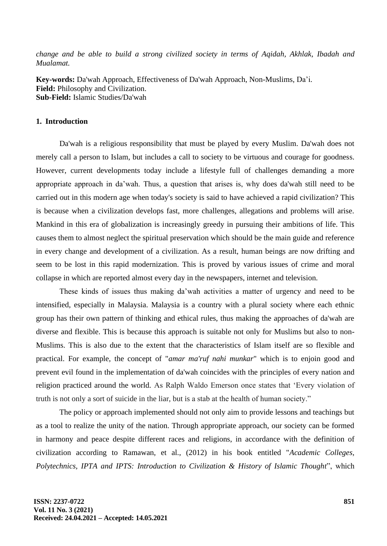*change and be able to build a strong civilized society in terms of Aqidah, Akhlak, Ibadah and Mualamat.*

**Key-words:** Da'wah Approach, Effectiveness of Da'wah Approach, Non-Muslims, Da'i. **Field:** Philosophy and Civilization. **Sub-Field:** Islamic Studies/Da'wah

## **1. Introduction**

Da'wah is a religious responsibility that must be played by every Muslim. Da'wah does not merely call a person to Islam, but includes a call to society to be virtuous and courage for goodness. However, current developments today include a lifestyle full of challenges demanding a more appropriate approach in da'wah. Thus, a question that arises is, why does da'wah still need to be carried out in this modern age when today's society is said to have achieved a rapid civilization? This is because when a civilization develops fast, more challenges, allegations and problems will arise. Mankind in this era of globalization is increasingly greedy in pursuing their ambitions of life. This causes them to almost neglect the spiritual preservation which should be the main guide and reference in every change and development of a civilization. As a result, human beings are now drifting and seem to be lost in this rapid modernization. This is proved by various issues of crime and moral collapse in which are reported almost every day in the newspapers, internet and television.

These kinds of issues thus making da'wah activities a matter of urgency and need to be intensified, especially in Malaysia. Malaysia is a country with a plural society where each ethnic group has their own pattern of thinking and ethical rules, thus making the approaches of da'wah are diverse and flexible. This is because this approach is suitable not only for Muslims but also to non-Muslims. This is also due to the extent that the characteristics of Islam itself are so flexible and practical. For example, the concept of "*amar ma'ruf nahi munkar*" which is to enjoin good and prevent evil found in the implementation of da'wah coincides with the principles of every nation and religion practiced around the world. As Ralph Waldo Emerson once states that 'Every violation of truth is not only a sort of suicide in the liar, but is a stab at the health of human society."

The policy or approach implemented should not only aim to provide lessons and teachings but as a tool to realize the unity of the nation. Through appropriate approach, our society can be formed in harmony and peace despite different races and religions, in accordance with the definition of civilization according to Ramawan, et al., (2012) in his book entitled "*Academic Colleges, Polytechnics, IPTA and IPTS: Introduction to Civilization & History of Islamic Thought*", which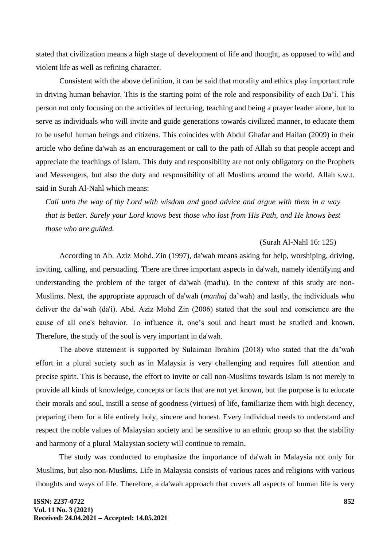stated that civilization means a high stage of development of life and thought, as opposed to wild and violent life as well as refining character.

Consistent with the above definition, it can be said that morality and ethics play important role in driving human behavior. This is the starting point of the role and responsibility of each Da'i. This person not only focusing on the activities of lecturing, teaching and being a prayer leader alone, but to serve as individuals who will invite and guide generations towards civilized manner, to educate them to be useful human beings and citizens. This coincides with Abdul Ghafar and Hailan (2009) in their article who define da'wah as an encouragement or call to the path of Allah so that people accept and appreciate the teachings of Islam. This duty and responsibility are not only obligatory on the Prophets and Messengers, but also the duty and responsibility of all Muslims around the world. Allah s.w.t. said in Surah Al-Nahl which means:

*Call unto the way of thy Lord with wisdom and good advice and argue with them in a way that is better. Surely your Lord knows best those who lost from His Path, and He knows best those who are guided.*

#### (Surah Al-Nahl 16: 125)

According to Ab. Aziz Mohd. Zin (1997), da'wah means asking for help, worshiping, driving, inviting, calling, and persuading. There are three important aspects in da'wah, namely identifying and understanding the problem of the target of da'wah (mad'u). In the context of this study are non-Muslims. Next, the appropriate approach of da'wah (*manhaj* da'wah) and lastly, the individuals who deliver the da'wah (da'i). Abd. Aziz Mohd Zin (2006) stated that the soul and conscience are the cause of all one's behavior. To influence it, one's soul and heart must be studied and known. Therefore, the study of the soul is very important in da'wah.

The above statement is supported by Sulaiman Ibrahim (2018) who stated that the da'wah effort in a plural society such as in Malaysia is very challenging and requires full attention and precise spirit. This is because, the effort to invite or call non-Muslims towards Islam is not merely to provide all kinds of knowledge, concepts or facts that are not yet known, but the purpose is to educate their morals and soul, instill a sense of goodness (virtues) of life, familiarize them with high decency, preparing them for a life entirely holy, sincere and honest. Every individual needs to understand and respect the noble values of Malaysian society and be sensitive to an ethnic group so that the stability and harmony of a plural Malaysian society will continue to remain.

The study was conducted to emphasize the importance of da'wah in Malaysia not only for Muslims, but also non-Muslims. Life in Malaysia consists of various races and religions with various thoughts and ways of life. Therefore, a da'wah approach that covers all aspects of human life is very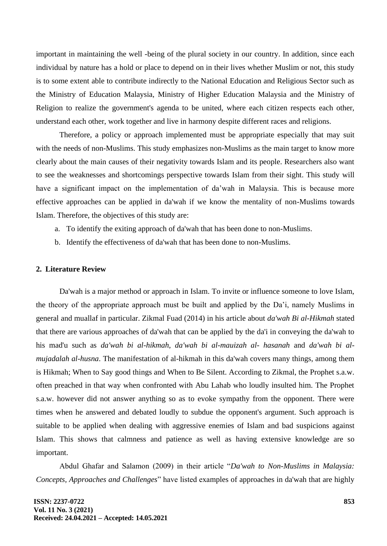important in maintaining the well -being of the plural society in our country. In addition, since each individual by nature has a hold or place to depend on in their lives whether Muslim or not, this study is to some extent able to contribute indirectly to the National Education and Religious Sector such as the Ministry of Education Malaysia, Ministry of Higher Education Malaysia and the Ministry of Religion to realize the government's agenda to be united, where each citizen respects each other, understand each other, work together and live in harmony despite different races and religions.

Therefore, a policy or approach implemented must be appropriate especially that may suit with the needs of non-Muslims. This study emphasizes non-Muslims as the main target to know more clearly about the main causes of their negativity towards Islam and its people. Researchers also want to see the weaknesses and shortcomings perspective towards Islam from their sight. This study will have a significant impact on the implementation of da'wah in Malaysia. This is because more effective approaches can be applied in da'wah if we know the mentality of non-Muslims towards Islam. Therefore, the objectives of this study are:

- a. To identify the exiting approach of da'wah that has been done to non-Muslims.
- b. Identify the effectiveness of da'wah that has been done to non-Muslims.

#### **2. Literature Review**

Da'wah is a major method or approach in Islam. To invite or influence someone to love Islam, the theory of the appropriate approach must be built and applied by the Da'i, namely Muslims in general and muallaf in particular. Zikmal Fuad (2014) in his article about *da'wah Bi al-Hikmah* stated that there are various approaches of da'wah that can be applied by the da'i in conveying the da'wah to his mad'u such as *da'wah bi al-hikmah*, *da'wah bi al-mauizah al- hasanah* and *da'wah bi almujadalah al-husna*. The manifestation of al-hikmah in this da'wah covers many things, among them is Hikmah; When to Say good things and When to Be Silent. According to Zikmal, the Prophet s.a.w. often preached in that way when confronted with Abu Lahab who loudly insulted him. The Prophet s.a.w. however did not answer anything so as to evoke sympathy from the opponent. There were times when he answered and debated loudly to subdue the opponent's argument. Such approach is suitable to be applied when dealing with aggressive enemies of Islam and bad suspicions against Islam. This shows that calmness and patience as well as having extensive knowledge are so important.

Abdul Ghafar and Salamon (2009) in their article "*Da'wah to Non-Muslims in Malaysia: Concepts, Approaches and Challenges*" have listed examples of approaches in da'wah that are highly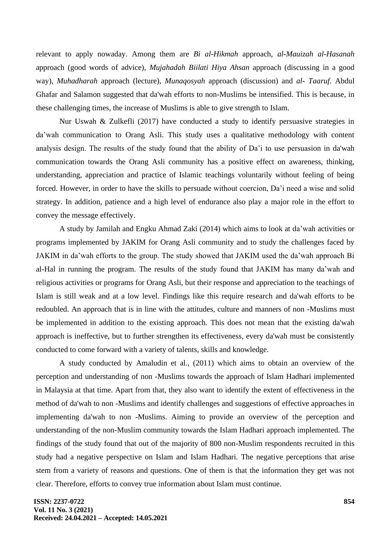relevant to apply nowaday. Among them are *Bi al-Hikmah* approach, *al-Mauizah al-Hasanah* approach (good words of advice), *Mujahadah Biilati Hiya Ahsan* approach (discussing in a good way), *Muhadharah* approach (lecture), *Munaqosyah* approach (discussion) and *al- Taaruf.* Abdul Ghafar and Salamon suggested that da'wah efforts to non-Muslims be intensified. This is because, in these challenging times, the increase of Muslims is able to give strength to Islam.

Nur Uswah & Zulkefli (2017) have conducted a study to identify persuasive strategies in da'wah communication to Orang Asli. This study uses a qualitative methodology with content analysis design. The results of the study found that the ability of Da'i to use persuasion in da'wah communication towards the Orang Asli community has a positive effect on awareness, thinking, understanding, appreciation and practice of Islamic teachings voluntarily without feeling of being forced. However, in order to have the skills to persuade without coercion, Da'i need a wise and solid strategy. In addition, patience and a high level of endurance also play a major role in the effort to convey the message effectively.

A study by Jamilah and Engku Ahmad Zaki (2014) which aims to look at da'wah activities or programs implemented by JAKIM for Orang Asli community and to study the challenges faced by JAKIM in da'wah efforts to the group. The study showed that JAKIM used the da'wah approach Bi al-Hal in running the program. The results of the study found that JAKIM has many da'wah and religious activities or programs for Orang Asli, but their response and appreciation to the teachings of Islam is still weak and at a low level. Findings like this require research and da'wah efforts to be redoubled. An approach that is in line with the attitudes, culture and manners of non -Muslims must be implemented in addition to the existing approach. This does not mean that the existing da'wah approach is ineffective, but to further strengthen its effectiveness, every da'wah must be consistently conducted to come forward with a variety of talents, skills and knowledge.

A study conducted by Amaludin et al., (2011) which aims to obtain an overview of the perception and understanding of non -Muslims towards the approach of Islam Hadhari implemented in Malaysia at that time. Apart from that, they also want to identify the extent of effectiveness in the method of da'wah to non -Muslims and identify challenges and suggestions of effective approaches in implementing da'wah to non -Muslims. Aiming to provide an overview of the perception and understanding of the non-Muslim community towards the Islam Hadhari approach implemented. The findings of the study found that out of the majority of 800 non-Muslim respondents recruited in this study had a negative perspective on Islam and Islam Hadhari. The negative perceptions that arise stem from a variety of reasons and questions. One of them is that the information they get was not clear. Therefore, efforts to convey true information about Islam must continue.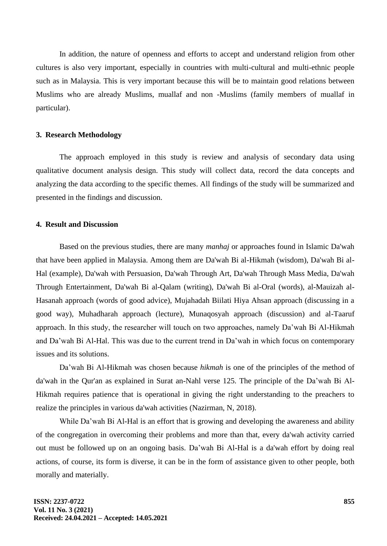In addition, the nature of openness and efforts to accept and understand religion from other cultures is also very important, especially in countries with multi-cultural and multi-ethnic people such as in Malaysia. This is very important because this will be to maintain good relations between Muslims who are already Muslims, muallaf and non -Muslims (family members of muallaf in particular).

# **3. Research Methodology**

The approach employed in this study is review and analysis of secondary data using qualitative document analysis design. This study will collect data, record the data concepts and analyzing the data according to the specific themes. All findings of the study will be summarized and presented in the findings and discussion.

# **4. Result and Discussion**

Based on the previous studies, there are many *manhaj* or approaches found in Islamic Da'wah that have been applied in Malaysia. Among them are Da'wah Bi al-Hikmah (wisdom), Da'wah Bi al-Hal (example), Da'wah with Persuasion, Da'wah Through Art, Da'wah Through Mass Media, Da'wah Through Entertainment, Da'wah Bi al-Qalam (writing), Da'wah Bi al-Oral (words), al-Mauizah al-Hasanah approach (words of good advice), Mujahadah Biilati Hiya Ahsan approach (discussing in a good way), Muhadharah approach (lecture), Munaqosyah approach (discussion) and al-Taaruf approach. In this study, the researcher will touch on two approaches, namely Da'wah Bi Al-Hikmah and Da'wah Bi Al-Hal. This was due to the current trend in Da'wah in which focus on contemporary issues and its solutions.

Da'wah Bi Al-Hikmah was chosen because *hikmah* is one of the principles of the method of da'wah in the Qur'an as explained in Surat an-Nahl verse 125. The principle of the Da'wah Bi Al-Hikmah requires patience that is operational in giving the right understanding to the preachers to realize the principles in various da'wah activities (Nazirman, N, 2018).

While Da'wah Bi Al-Hal is an effort that is growing and developing the awareness and ability of the congregation in overcoming their problems and more than that, every da'wah activity carried out must be followed up on an ongoing basis. Da'wah Bi Al-Hal is a da'wah effort by doing real actions, of course, its form is diverse, it can be in the form of assistance given to other people, both morally and materially.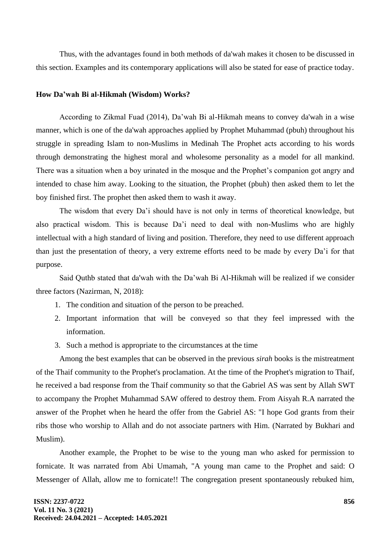Thus, with the advantages found in both methods of da'wah makes it chosen to be discussed in this section. Examples and its contemporary applications will also be stated for ease of practice today.

#### **How Da'wah Bi al-Hikmah (Wisdom) Works?**

According to Zikmal Fuad (2014), Da'wah Bi al-Hikmah means to convey da'wah in a wise manner, which is one of the da'wah approaches applied by Prophet Muhammad (pbuh) throughout his struggle in spreading Islam to non-Muslims in Medinah The Prophet acts according to his words through demonstrating the highest moral and wholesome personality as a model for all mankind. There was a situation when a boy urinated in the mosque and the Prophet's companion got angry and intended to chase him away. Looking to the situation, the Prophet (pbuh) then asked them to let the boy finished first. The prophet then asked them to wash it away.

The wisdom that every Da'i should have is not only in terms of theoretical knowledge, but also practical wisdom. This is because Da'i need to deal with non-Muslims who are highly intellectual with a high standard of living and position. Therefore, they need to use different approach than just the presentation of theory, a very extreme efforts need to be made by every Da'i for that purpose.

Said Quthb stated that da'wah with the Da'wah Bi Al-Hikmah will be realized if we consider three factors (Nazirman, N, 2018):

- 1. The condition and situation of the person to be preached.
- 2. Important information that will be conveyed so that they feel impressed with the information.
- 3. Such a method is appropriate to the circumstances at the time

Among the best examples that can be observed in the previous *sirah* books is the mistreatment of the Thaif community to the Prophet's proclamation. At the time of the Prophet's migration to Thaif, he received a bad response from the Thaif community so that the Gabriel AS was sent by Allah SWT to accompany the Prophet Muhammad SAW offered to destroy them. From Aisyah R.A narrated the answer of the Prophet when he heard the offer from the Gabriel AS: "I hope God grants from their ribs those who worship to Allah and do not associate partners with Him. (Narrated by Bukhari and Muslim).

Another example, the Prophet to be wise to the young man who asked for permission to fornicate. It was narrated from Abi Umamah, "A young man came to the Prophet and said: O Messenger of Allah, allow me to fornicate!! The congregation present spontaneously rebuked him,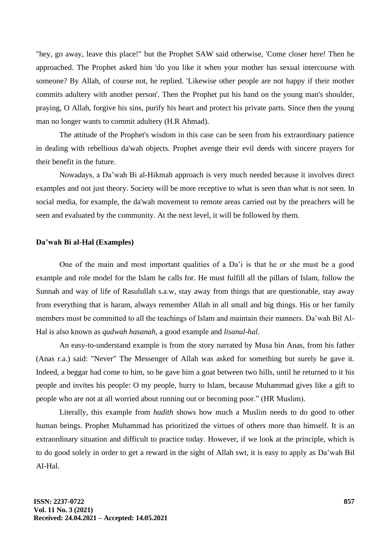"hey, go away, leave this place!" but the Prophet SAW said otherwise, 'Come closer here! Then he approached. The Prophet asked him 'do you like it when your mother has sexual intercourse with someone? By Allah, of course not, he replied. 'Likewise other people are not happy if their mother commits adultery with another person'. Then the Prophet put his hand on the young man's shoulder, praying, O Allah, forgive his sins, purify his heart and protect his private parts. Since then the young man no longer wants to commit adultery (H.R Ahmad).

The attitude of the Prophet's wisdom in this case can be seen from his extraordinary patience in dealing with rebellious da'wah objects. Prophet avenge their evil deeds with sincere prayers for their benefit in the future.

Nowadays, a Da'wah Bi al-Hikmah approach is very much needed because it involves direct examples and not just theory. Society will be more receptive to what is seen than what is not seen. In social media, for example, the da'wah movement to remote areas carried out by the preachers will be seen and evaluated by the community. At the next level, it will be followed by them.

## **Da'wah Bi al-Hal (Examples)**

One of the main and most important qualities of a Da'i is that he or she must be a good example and role model for the Islam he calls for. He must fulfill all the pillars of Islam, follow the Sunnah and way of life of Rasulullah s.a.w, stay away from things that are questionable, stay away from everything that is haram, always remember Allah in all small and big things. His or her family members must be committed to all the teachings of Islam and maintain their manners. Da'wah Bil Al-Hal is also known as *qudwah hasanah*, a good example and *lisanul-hal*.

An easy-to-understand example is from the story narrated by Musa bin Anas, from his father (Anas r.a.) said: "Never" The Messenger of Allah was asked for something but surely he gave it. Indeed, a beggar had come to him, so he gave him a goat between two hills, until he returned to it his people and invites his people: O my people, hurry to Islam, because Muhammad gives like a gift to people who are not at all worried about running out or becoming poor." (HR Muslim).

Literally, this example from *hadith* shows how much a Muslim needs to do good to other human beings. Prophet Muhammad has prioritized the virtues of others more than himself. It is an extraordinary situation and difficult to practice today. However, if we look at the principle, which is to do good solely in order to get a reward in the sight of Allah swt, it is easy to apply as Da'wah Bil Al-Hal.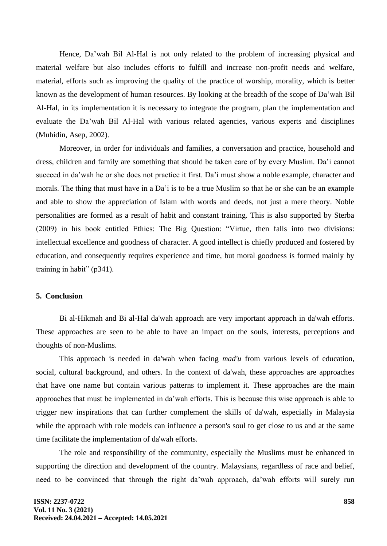Hence, Da'wah Bil Al-Hal is not only related to the problem of increasing physical and material welfare but also includes efforts to fulfill and increase non-profit needs and welfare, material, efforts such as improving the quality of the practice of worship, morality, which is better known as the development of human resources. By looking at the breadth of the scope of Da'wah Bil Al-Hal, in its implementation it is necessary to integrate the program, plan the implementation and evaluate the Da'wah Bil Al-Hal with various related agencies, various experts and disciplines (Muhidin, Asep, 2002).

Moreover, in order for individuals and families, a conversation and practice, household and dress, children and family are something that should be taken care of by every Muslim. Da'i cannot succeed in da'wah he or she does not practice it first. Da'i must show a noble example, character and morals. The thing that must have in a Da'i is to be a true Muslim so that he or she can be an example and able to show the appreciation of Islam with words and deeds, not just a mere theory. Noble personalities are formed as a result of habit and constant training. This is also supported by Sterba (2009) in his book entitled Ethics: The Big Question: "Virtue, then falls into two divisions: intellectual excellence and goodness of character. A good intellect is chiefly produced and fostered by education, and consequently requires experience and time, but moral goodness is formed mainly by training in habit" (p341).

# **5. Conclusion**

Bi al-Hikmah and Bi al-Hal da'wah approach are very important approach in da'wah efforts. These approaches are seen to be able to have an impact on the souls, interests, perceptions and thoughts of non-Muslims.

This approach is needed in da'wah when facing *mad'u* from various levels of education, social, cultural background, and others. In the context of da'wah, these approaches are approaches that have one name but contain various patterns to implement it. These approaches are the main approaches that must be implemented in da'wah efforts. This is because this wise approach is able to trigger new inspirations that can further complement the skills of da'wah, especially in Malaysia while the approach with role models can influence a person's soul to get close to us and at the same time facilitate the implementation of da'wah efforts.

The role and responsibility of the community, especially the Muslims must be enhanced in supporting the direction and development of the country. Malaysians, regardless of race and belief, need to be convinced that through the right da'wah approach, da'wah efforts will surely run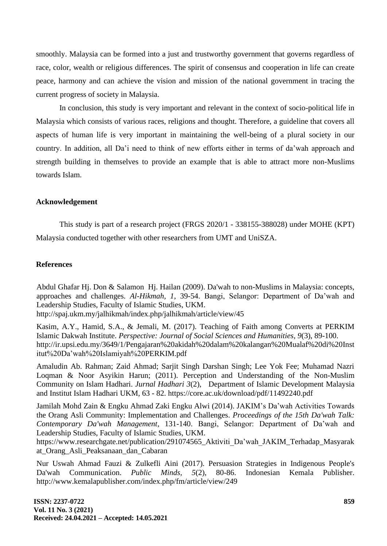smoothly. Malaysia can be formed into a just and trustworthy government that governs regardless of race, color, wealth or religious differences. The spirit of consensus and cooperation in life can create peace, harmony and can achieve the vision and mission of the national government in tracing the current progress of society in Malaysia.

In conclusion, this study is very important and relevant in the context of socio-political life in Malaysia which consists of various races, religions and thought. Therefore, a guideline that covers all aspects of human life is very important in maintaining the well-being of a plural society in our country. In addition, all Da'i need to think of new efforts either in terms of da'wah approach and strength building in themselves to provide an example that is able to attract more non-Muslims towards Islam.

## **Acknowledgement**

This study is part of a research project (FRGS 2020/1 - 338155-388028) under MOHE (KPT) Malaysia conducted together with other researchers from UMT and UniSZA.

## **References**

Abdul Ghafar Hj. Don & Salamon Hj. Hailan (2009). Da'wah to non-Muslims in Malaysia: concepts, approaches and challenges. *Al-Hikmah, 1,* 39-54. Bangi, Selangor: Department of Da'wah and Leadership Studies, Faculty of Islamic Studies, UKM.

http://spaj.ukm.my/jalhikmah/index.php/jalhikmah/article/view/45

Kasim, A.Y., Hamid, S.A., & Jemali, M. (2017). Teaching of Faith among Converts at PERKIM Islamic Dakwah Institute. *Perspective: Journal of Social Sciences and Humanities, 9*(3), 89-100. http://ir.upsi.edu.my/3649/1/Pengajaran%20akidah%20dalam%20kalangan%20Mualaf%20di%20Inst itut%20Da'wah%20Islamiyah%20PERKIM.pdf

Amaludin Ab. Rahman; Zaid Ahmad; Sarjit Singh Darshan Singh; Lee Yok Fee; Muhamad Nazri Loqman & Noor Asyikin Harun; (2011). Perception and Understanding of the Non-Muslim Community on Islam Hadhari. *Jurnal Hadhari 3*(2), Department of Islamic Development Malaysia and Institut Islam Hadhari UKM, 63 - 82. https://core.ac.uk/download/pdf/11492240.pdf

Jamilah Mohd Zain & Engku Ahmad Zaki Engku Alwi (2014). JAKIM's Da'wah Activities Towards the Orang Asli Community: Implementation and Challenges. *Proceedings of the 15th Da'wah Talk: Contemporary Da'wah Management,* 131-140. Bangi, Selangor: Department of Da'wah and Leadership Studies, Faculty of Islamic Studies, UKM.

https://www.researchgate.net/publication/291074565\_Aktiviti\_Da'wah\_JAKIM\_Terhadap\_Masyarak at\_Orang\_Asli\_Peaksanaan\_dan\_Cabaran

Nur Uswah Ahmad Fauzi & Zulkefli Aini (2017). Persuasion Strategies in Indigenous People's Da'wah Communication. *Public Minds, 5*(2), 80-86. Indonesian Kemala Publisher. http://www.kemalapublisher.com/index.php/fm/article/view/249